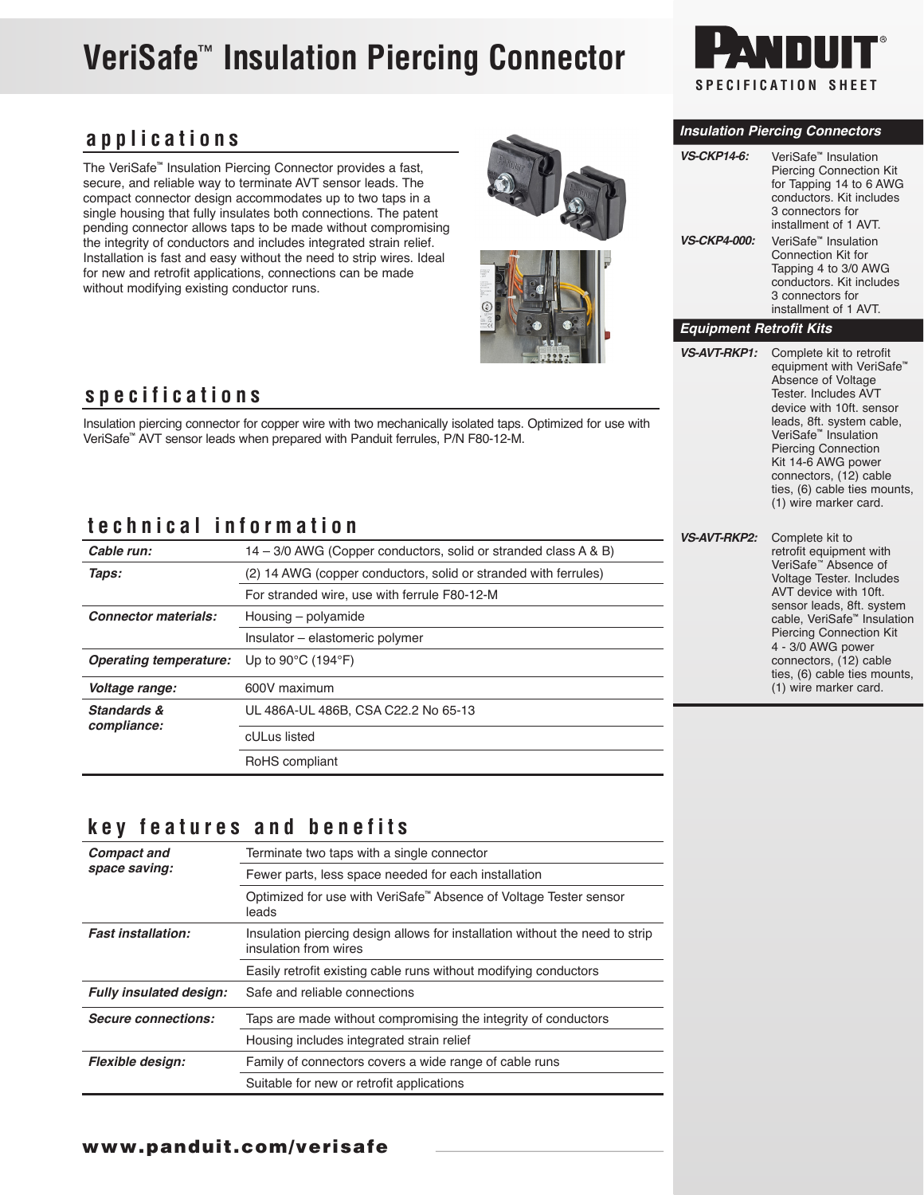## **VeriSafe**™ **Insulation Piercing Connector**



## **applications**

The VeriSafe**™** Insulation Piercing Connector provides a fast, secure, and reliable way to terminate AVT sensor leads. The compact connector design accommodates up to two taps in a single housing that fully insulates both connections. The patent pending connector allows taps to be made without compromising the integrity of conductors and includes integrated strain relief. Installation is fast and easy without the need to strip wires. Ideal for new and retrofit applications, connections can be made without modifying existing conductor runs.



### **specifications**

Insulation piercing connector for copper wire with two mechanically isolated taps. Optimized for use with VeriSafe**™** AVT sensor leads when prepared with Panduit ferrules, P/N F80-12-M.

## **technical information**

| .<br><b>VS-AVT-RKP2:</b>    |                                                                 |  |
|-----------------------------|-----------------------------------------------------------------|--|
| Cable run:                  | 14 – 3/0 AWG (Copper conductors, solid or stranded class A & B) |  |
| Taps:                       | (2) 14 AWG (copper conductors, solid or stranded with ferrules) |  |
|                             | For stranded wire, use with ferrule F80-12-M                    |  |
| <b>Connector materials:</b> | Housing – polyamide                                             |  |
|                             | Insulator - elastomeric polymer                                 |  |
| Operating temperature:      | Up to $90^{\circ}$ C (194 $^{\circ}$ F)                         |  |
| Voltage range:              | 600V maximum                                                    |  |
| Standards &<br>compliance:  | UL 486A-UL 486B, CSA C22.2 No 65-13                             |  |
|                             | cULus listed                                                    |  |
|                             | RoHS compliant                                                  |  |

## **key features and benefits**

| <b>Compact and</b>             | Terminate two taps with a single connector                                                            |
|--------------------------------|-------------------------------------------------------------------------------------------------------|
| space saving:                  | Fewer parts, less space needed for each installation                                                  |
|                                | Optimized for use with VeriSafe™ Absence of Voltage Tester sensor<br>leads                            |
| <b>Fast installation:</b>      | Insulation piercing design allows for installation without the need to strip<br>insulation from wires |
|                                | Easily retrofit existing cable runs without modifying conductors                                      |
| <b>Fully insulated design:</b> | Safe and reliable connections                                                                         |
| <b>Secure connections:</b>     | Taps are made without compromising the integrity of conductors                                        |
|                                | Housing includes integrated strain relief                                                             |
| <b>Flexible design:</b>        | Family of connectors covers a wide range of cable runs                                                |
|                                | Suitable for new or retrofit applications                                                             |

#### *Insulation Piercing Connectors*

| <b>VS-CKP14-6:</b>  | VeriSafe <sup>™</sup> Insulation<br><b>Piercing Connection Kit</b><br>for Tapping 14 to 6 AWG<br>conductors. Kit includes<br>3 connectors for<br>installment of 1 AVT. |
|---------------------|------------------------------------------------------------------------------------------------------------------------------------------------------------------------|
| <b>VS-CKP4-000:</b> | VeriSafe <sup>™</sup> Insulation<br>Connection Kit for<br>Tapping 4 to 3/0 AWG<br>conductors. Kit includes<br>3 connectors for<br>installment of 1 AVT.                |

#### *Equipment Retrofit Kits*

*VS-AVT-RKP1:* Complete kit to retrofit

equipment with VeriSafe**™** Absence of Voltage Tester. Includes AVT device with 10ft. sensor leads, 8ft. system cable, VeriSafe**™** Insulation Piercing Connection Kit 14-6 AWG power connectors, (12) cable ties, (6) cable ties mounts, (1) wire marker card.

| Complete kit to<br>retrofit equipment with<br>VeriSafe™ Absence of<br>Voltage Tester. Includes<br>AVT device with 10ft.<br>sensor leads, 8ft. system<br>cable, VeriSafe™ Insulation<br><b>Piercing Connection Kit</b><br>4 - 3/0 AWG power<br>connectors, (12) cable<br>ties, (6) cable ties mounts, |
|------------------------------------------------------------------------------------------------------------------------------------------------------------------------------------------------------------------------------------------------------------------------------------------------------|
| (1) wire marker card.                                                                                                                                                                                                                                                                                |
|                                                                                                                                                                                                                                                                                                      |